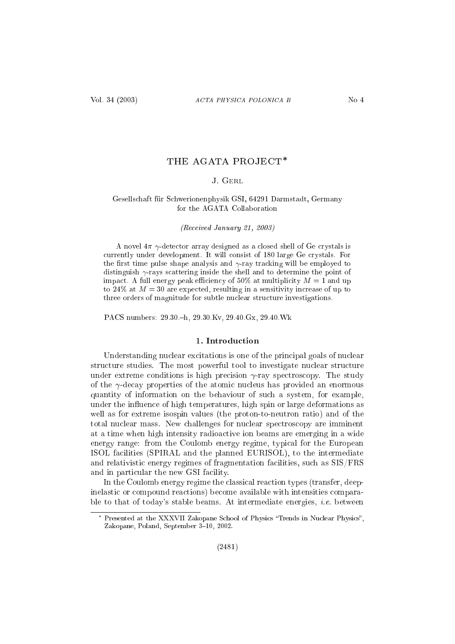# THE AGATA PROJECT\*

# J GERL

# Gesells
haft für S
hwerionenphysik GSI, 64291 Darmstadt, Germany for the AGATA Collaboration

(Re
eived January 21, 2003)

A novel  $4\pi \gamma$ -detector array designed as a closed shell of Ge crystals is urrently under development. It will onsist of 180 large Ge rystals. For the first time pulse shape analysis and  $\gamma$ -ray tracking will be employed to distinguish  $\gamma$ -rays scattering inside the shell and to determine the point of impact. A full energy peak efficiency of 50% at multiplicity  $M = 1$  and up to 24\% at  $M = 30$  are expected, resulting in a sensitivity increase of up to three orders of magnitude for subtle nuclear structure investigations.

PACS numbers: 29.30.-h, 29.30.Kv, 29.40.Gx, 29.40.Wk

# 1. Introduction

Understanding nuclear excitations is one of the principal goals of nuclear structure studies. The most powerful tool to investigate nuclear structure under extreme conditions is high precision  $\gamma$ -ray spectroscopy. The study of the  $\gamma$ -decay properties of the atomic nucleus has provided an enormous quantity of information on the behaviour of su
h a system, for example, under the influence of high temperatures, high spin or large deformations as well as for extreme isospin values (the proton-to-neutron ratio) and of the total nu
lear mass. New hallenges for nu
lear spe
tros
opy are imminent at a time when high intensity radioa
tive ion beams are emerging in a wide energy range: from the Coulomb energy regime, typi
al for the European ISOL fa
ilities (SPIRAL and the planned EURISOL), to the intermediate and relativistic energy regimes of fragmentation facilities, such as SIS/FRS and in particular the new GSI facility.

In the Coulomb energy regime the classical reaction types (transfer, deepinelasti or ompound rea
tions) be
ome available with intensities omparable to that of today's stable beams. At intermediate energies, *i.e.* between

<sup>-</sup> Presented at the XXXVII Zakopane School of Physics "Trends in Nuclear Physics", Zakopane, Poland, September 3-10, 2002.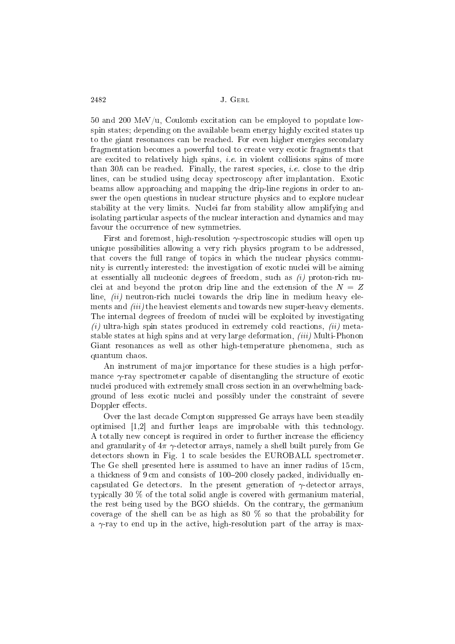$1$  and  $2$  and  $2$  and  $2$  and  $2$  and  $2$  and  $2$  and  $2$  and  $2$  and  $2$  and  $2$  and  $2$  and  $2$  and  $2$  and  $2$  and  $2$  and  $2$  and  $2$  and  $2$  and  $2$  and  $2$  and  $2$  and  $2$  and  $2$  and  $2$  and  $2$  and  $2$  and  $2$  a spin states; depending on the available beam energy highly excited states up to the giant resonan
es an be rea
hed. For even higher energies se
ondary fragmentation be
omes a powerful tool to reate very exoti fragments that are excited to relatively high spins, *i.e.* in violent collisions spins of more than  $30\hbar$  can be reached. Finally, the rarest species, *i.e.* close to the drip lines, can be studied using decay spectroscopy after implantation. Exotic beams allow approaching and mapping the drip-line regions in order to answer the open questions in nu
lear stru
ture physi
s and to explore nu
lear stability at the very limits. Nu
lei far from stability allow amplifying and isolating particular aspects of the nuclear interaction and dynamics and may favour the occurrence of new symmetries.

First and foremost, high-resolution -spe
tros
opi studies will open up unique possibilities allowing a very rich physics program to be addressed. unique possibilities allowing a very ri
h physi
s program to be addressed, that in which is the full range of topical range of topical range of topics in which is the number of the number of the number of the number of the number of the number of the number of the number of the number of the numb nity is urrently interested: the investigation of exoti nu
lei will be aiming at essentially all nucleonic degrees of freedom, such as  $(i)$  proton-rich nuclei at and beyond the proton drip line and the extension of the  $N = Z$ line,  $(ii)$  neutron-rich nuclei towards the drip line in medium heavy elements and *(iii)* the heaviest elements and towards new super-heavy elements. The internal degrees of freedom of nuclei will be exploited by investigating (i) ultra-high spin states produ
ed in extremely old rea
tions, (ii) metastable states at high spins and at very large deformation,  $(iii)$  Multi-Phonon Giant resonan
es as well as other high-temperature phenomena, su
h as quantum haos.

An instrument of ma jor importan
e for these studies is a high performance  $\gamma$ -ray spectrometer capable of disentangling the structure of exotic nu
lei produ
ed with extremely small ross se
tion in an overwhelming ba
kground of less exotic nuclei and possibly under the constraint of severe Doppler effects.

Over the last decade Compton suppressed Ge arrays have been steadily optimised  $[1,2]$  and further leaps are improbable with this technology. A totally new concept is required in order to further increase the efficiency and granularity of  $4\pi \gamma$ -detector arrays, namely a shell built purely from Ge dete
tors shown in Fig. 1 to s
ale besides the EUROBALL spe
trometer. The Ge shell presented here is assumed to have an inner radius of 15 cm, a thickness of 9 cm and consists of 100–200 closely packed, individually encapsulated Ge detectors. In the present generation of  $\gamma$ -detector arrays, typi
ally 30 % of the total solid angle is overed with germanium material, the rest being used by the BGO shields. On the ontrary, the germanium coverage of the shell can be as high as  $80\%$  so that the probability for a  $\gamma$ -ray to end up in the active, high-resolution part of the array is max-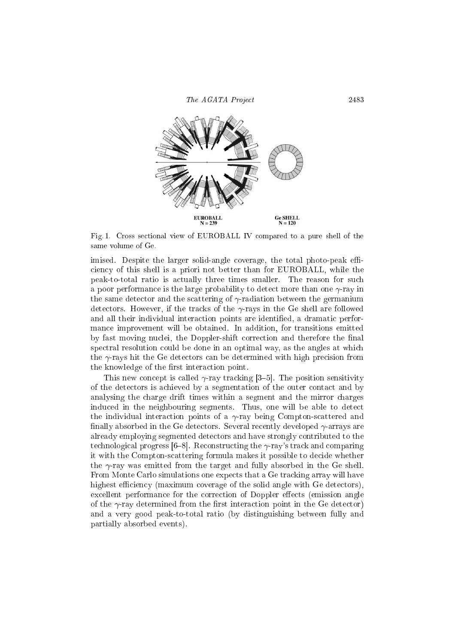

Fig. 1. Cross se
tional view of EUROBALL IV ompared to a pure shell of the same volume of Ge.

imised. Despite the larger solid-angle coverage, the total photo-peak effiien
y of this shell is a priori not better than for EUROBALL, while the peak-to-total ratio is a
tually three times smaller. The reason for su
h a poor performance is the large probability to detect more than one  $\gamma$ -ray in the same detector and the scattering of  $\gamma$ -radiation between the germanium detectors. However, if the tracks of the  $\gamma$ -rays in the Ge shell are followed and all their individual interaction points are identified, a dramatic performan
e improvement will be obtained. In addition, for transitions emitted by fast moving nuclei, the Doppler-shift correction and therefore the final spectral resolution could be done in an optimal way, as the angles at which the  $\gamma$ -rays hit the Ge detectors can be determined with high precision from the knowledge of the first interaction point.

This new concept is called  $\gamma$ -ray tracking [3–5]. The position sensitivity of the dete
tors is a
hieved by a segmentation of the outer onta
t and by analysing the harge drift times within a segment and the mirror harges indu
ed in the neighbouring segments. Thus, one will be able to dete
t the individual interaction points of a  $\gamma$ -ray being Compton-scattered and finally absorbed in the Ge detectors. Several recently developed  $\gamma$ -arrays are already employing segmented dete
tors and have strongly ontributed to the technological progress  $[6-8]$ . Reconstructing the  $\gamma$ -ray's track and comparing it with the Compton-s
attering formula makes it possible to de
ide whether the  $\gamma$ -ray was emitted from the target and fully absorbed in the Ge shell. From Monte Carlo simulations one expects that a Ge tracking array will have highest efficiency (maximum coverage of the solid angle with Ge detectors), excellent performance for the correction of Doppler effects (emission angle of the  $\gamma$ -ray determined from the first interaction point in the Ge detector) and a very good peak-to-total ratio (by distinguishing between fully and partially absorbed events).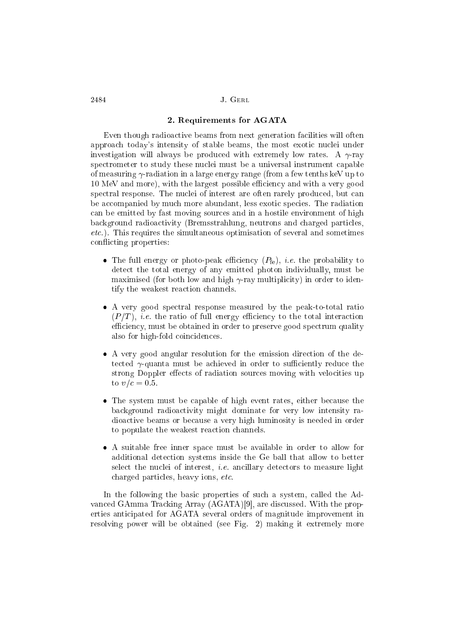### J. GERL

# 2. Requirements for AGATA

Even though radioa
tive beams from next generation fa
ilities will often approach today's intensity of stable beams, the most exotic nuclei under investigation will always be produced with extremely low rates. A  $\gamma$ -ray spectrometer to study these nuclei must be a universal instrument capable of measuring  $\gamma$ -radiation in a large energy range (from a few tenths keV up to 10 MeV and more), with the largest possible efficiency and with a very good spectral response. The nuclei of interest are often rarely produced, but can be accompanied by much more abundant, less exotic species. The radiation an be emitted by fast moving sour
es and in a hostile environment of high ba
kground radioa
tivity (Bremsstrahlung, neutrons and harged parti
les, etc.). This requires the simultaneous optimisation of several and sometimes conflicting properties:

- The full energy or photo-peak efficiency  $(P_{\text{fe}})$ , *i.e.* the probability to dete
t the total energy of any emitted photon individually, must be maximised (for both low and high  $\gamma$ -ray multiplicity) in order to identify the weakest reaction channels.
- A very good spectral response measured by the peak-to-total ratio  $(P/T)$ , *i.e.* the ratio of full energy efficiency to the total interaction efficiency, must be obtained in order to preserve good spectrum quality also for high-fold oin
iden
es.
- A very good angular resolution for the emission direction of the detected  $\gamma$ -quanta must be achieved in order to sufficiently reduce the strong Doppler effects of radiation sources moving with velocities up to  $v/c = 0.5$ .
- The system must be capable of high event rates, either because the ba
kground radioa
tivity might dominate for very low intensity radioa
tive beams or be
ause a very high luminosity is needed in order to populate the weakest reaction channels.
- A suitable free inner spa
e must be available in order to allow for additional dete
tion systems inside the Ge ball that allow to better select the nuclei of interest, *i.e.* ancillary detectors to measure light charged particles, heavy ions, etc.

In the following the basic properties of such a system, called the Advanced GAmma Tracking Array (AGATA)[9], are discussed. With the properties anti
ipated for AGATA several orders of magnitude improvement in resolving power will be obtained (see Fig. 2) making it extremely more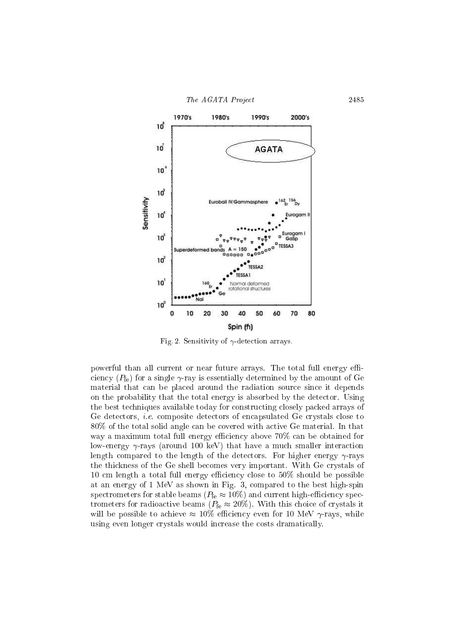

Fig. 2. Sensitivity of  $\gamma$ -detection arrays.

powerful than all current or near future arrays. The total full energy efficiency ( $P_{\text{fe}}$ ) for a single  $\gamma$ -ray is essentially determined by the amount of Ge material that an be pla
ed around the radiation sour
e sin
e it depends on the probability that the total energy is absorbed by the dete
tor. Using the best te
hniques available today for onstru
ting losely pa
ked arrays of Ge detectors, *i.e.* composite detectors of encapsulated Ge crystals close to 80% of the total solid angle an be overed with a
tive Ge material. In that way a maximum total full energy efficiency above 70% can be obtained for low-energy  $\gamma$ -rays (around 100 keV) that have a much smaller interaction length compared to the length of the detectors. For higher energy  $\gamma$ -rays the thi
kness of the Ge shell be
omes very important. With Ge rystals of 10 cm length a total full energy efficiency close to  $50\%$  should be possible at an energy of 1 MeV as shown in Fig. 3, ompared to the best high-spin spectrometers for stable beams ( $P_{\text{fe}} \approx 10\%$ ) and current high-efficiency spectrometers for radioactive beams ( $P_{\text{fe}} \approx 20\%$ ). With this choice of crystals it will be possible to achieve  $\approx 10\%$  efficiency even for 10 MeV  $\gamma$ -rays, while using even longer crystals would increase the costs dramatically.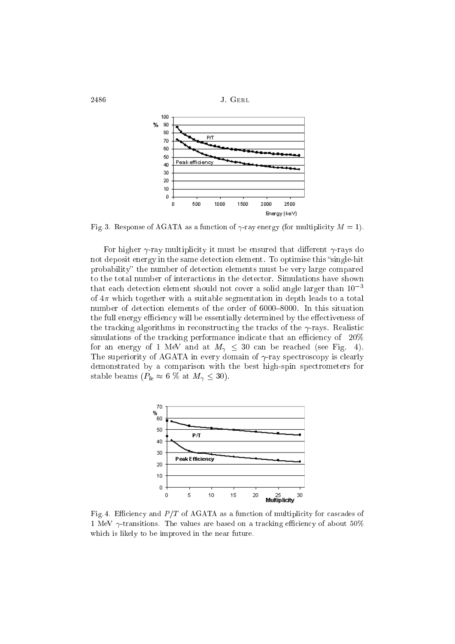

Fig. 3. Response of AGATA as a function of  $\gamma$ -ray energy (for multiplicity  $M = 1$ ).

For higher  $\gamma$ -ray multiplicity it must be ensured that different  $\gamma$ -rays do not deposit energy in the same detection element. To optimise this "single-hit" probability" the number of detection elements must be very large compared to the total number of intera
tions in the dete
tor. Simulations have shown that each detection element should not cover a solid angle larger than  $10^{-3}$ of  $4\pi$  which together with a suitable segmentation in depth leads to a total number of detection elements of the order of 6000-8000. In this situation the full energy efficiency will be essentially determined by the effectiveness of the tracking algorithms in reconstructing the tracks of the  $\gamma$ -rays. Realistic simulations of the tracking performance indicate that an efficiency of  $20%$ for an energy of 1 MeV and at  $M_{\gamma} \leq 30$  can be reached (see Fig. 4). The superiority of AGATA in every domain of  $\gamma$ -ray spectroscopy is clearly demonstrated by a omparison with the best high-spin spe
trometers for stable beams ( $P_{\text{fe}} \approx 6 \%$  at  $M_{\gamma} \leq 30$ ).



Fig. 4. Efficiency and  $P/T$  of AGATA as a function of multiplicity for cascades of 1 MeV  $\gamma$ -transitions. The values are based on a tracking efficiency of about 50% which is likely to be improved in the near future.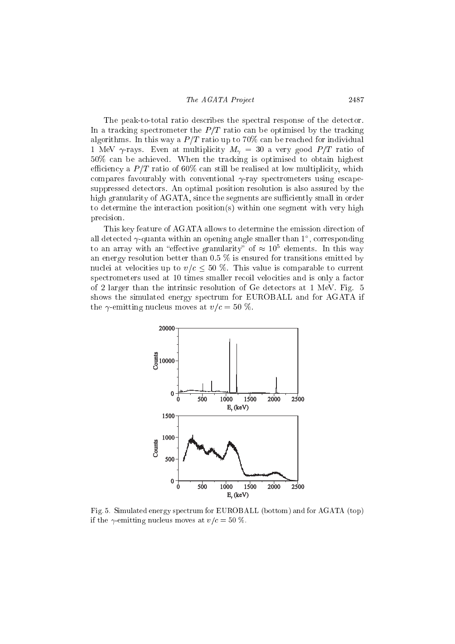The peak-to-total ratio des
ribes the spe
tral response of the dete
tor. In a tracking spectrometer the  $P/T$  ratio can be optimised by the tracking algorithms. In this way a  $P/T$  ratio up to 70% can be reached for individual 1 MeV  $\gamma$ -rays. Even at multiplicity  $M_{\gamma} = 30$  a very good  $P/T$  ratio of 50% an be a
hieved. When the tra
king is optimised to obtain highest efficiency a  $P/T$  ratio of 60% can still be realised at low multiplicity, which compares favourably with conventional  $\gamma$ -ray spectrometers using escapesuppressed dete
tors. An optimal position resolution is also assured by the high granularity of AGATA, since the segments are sufficiently small in order to determine the intera
tion position(s) within one segment with very high pre
ision.

This key feature of AGATA allows to determine the emission direction of an detected  $\gamma$ -quanta within an opening angle smaller than 1—, corresponding to an array with an enective granularity of  $\approx$  10 definents. In this way an energy resolution better than  $0.5\%$  is ensured for transitions emitted by nuclei at velocities up to  $v/c \leq 50$  %. This value is comparable to current spectrometers used at 10 times smaller recoil velocities and is only a factor of 2 larger than the intrinsic resolution of Ge detectors at 1 MeV. Fig. 5 shows the simulated energy spe
trum for EUROBALL and for AGATA if the  $\gamma$ -emitting nucleus moves at  $v/c = 50\%$ .



Fig. 5. Simulated energy spe
trum for EUROBALL (bottom) and for AGATA (top) if the  $\gamma$ -emitting nucleus moves at  $v/c = 50$  %.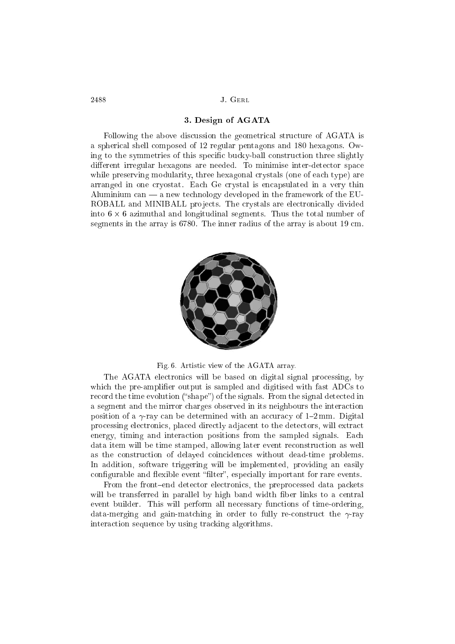# 3. Design of AGATA

Following the above discussion the geometrical structure of AGATA is a spheri
al shell omposed of 12 regular pentagons and 180 hexagons. Owing to the symmetries of this specific bucky-ball construction three slightly ing to the symmetries of this spe
i bu
ky-ball onstru
tion three slightly different irregular hexagons are needed. To minimise inter-detector space while preserving modularity, three hexagonal crystals (one of each type) are arranged in one cryostat. Each Ge crystal is encapsulated in a very thin arranged in one ryostat. Ea
h Ge rystal is en
apsulated in a very thin Aluminium can  $-$  a new technology developed in the framework of the EU- $\mathbf{M}$ ROBALL and MINIBALL projects. The crystals are electronically divided into <sup>6</sup> - <sup>6</sup> azimuthal and longitudinal segments. Thus the total number of segments in the array is 6780. The inner radius of the array is about 19 m.



Fig. 6. Artistic view of the AGATA array.

The AGATA electronics will be based on digital signal processing, by which the pre-amplifier output is sampled and digitised with fast ADCs to record the time evolution ("shape") of the signals. From the signal detected in a segment and the mirror harges observed in its neighbours the intera
tion position of a  $\gamma$ -ray can be determined with an accuracy of 1-2 mm. Digital processing electronics, placed directly adjacent to the detectors, will extract energy, timing and interaction positions from the sampled signals. Each data item will be time stamped, allowing later event re
onstru
tion as well as the onstru
tion of delayed oin
iden
es without dead-time problems. In addition, software triggering will be implemented, providing an easily configurable and flexible event "filter", especially important for rare events.

From the front-end detector electronics, the preprocessed data packets will be transferred in parallel by high band width fiber links to a central event builder. This will perform all necessary functions of time-ordering, data-merging and gain-matching in order to fully re-construct the  $\gamma$ -ray interaction sequence by using tracking algorithms.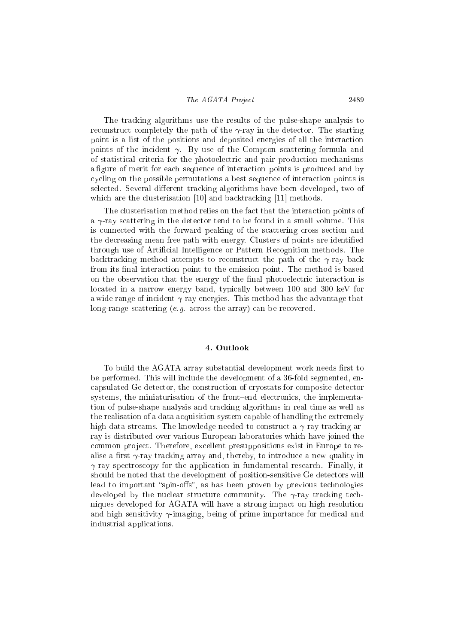The tra
king algorithms use the results of the pulse-shape analysis to reconstruct completely the path of the  $\gamma$ -ray in the detector. The starting point is a list of the positions and deposited energies of all the intera
tion points of the incident  $\gamma$ . By use of the Compton scattering formula and of statisti
al riteria for the photoele
tri and pair produ
tion me
hanisms a figure of merit for each sequence of interaction points is produced and by y
ling on the possible permutations a best sequen
e of intera
tion points is selected. Several different tracking algorithms have been developed, two of which are the clusterisation  $[10]$  and backtracking  $[11]$  methods.

The lusterisation method relies on the fa
t that the intera
tion points of a  $\gamma$ -ray scattering in the detector tend to be found in a small volume. This is connected with the forward peaking of the scattering cross section and the decreasing mean free path with energy. Clusters of points are identified through use of Arti
ial Intelligen
e or Pattern Re
ognition methods. The backtracking method attempts to reconstruct the path of the  $\gamma$ -ray back from its final interaction point to the emission point. The method is based on the observation that the energy of the final photoelectric interaction is located in a narrow energy band, typically between 100 and 300 keV for a wide range of incident  $\gamma$ -ray energies. This method has the advantage that long-range scattering  $(e,q)$  across the array can be recovered.

## 4. Outlook

To build the AGATA array substantial development work needs first to be performed. This will in
lude the development of a 36-fold segmented, en apsulated Ge dete
tor, the onstru
tion of ryostats for omposite dete
tor systems, the miniaturisation of the front-end electronics, the implementation of pulse-shape analysis and tra
king algorithms in real time as well as the realisation of a data a
quisition system apable of handling the extremely high data streams. The knowledge needed to construct a  $\gamma$ -ray tracking array is distributed over various European laboratories whi
h have joined the common project. Therefore, excellent presuppositions exist in Europe to realise a first  $\gamma$ -ray tracking array and, thereby, to introduce a new quality in  $\gamma$ -ray spectroscopy for the application in fundamental research. Finally, it should be noted that the development of position-sensitive Ge detectors will lead to important "spin-offs", as has been proven by previous technologies developed by the nuclear structure community. The  $\gamma$ -ray tracking techniques developed for AGATA will have a strong impa
t on high resolution and high sensitivity  $\gamma$ -imaging, being of prime importance for medical and industrial appli
ations.